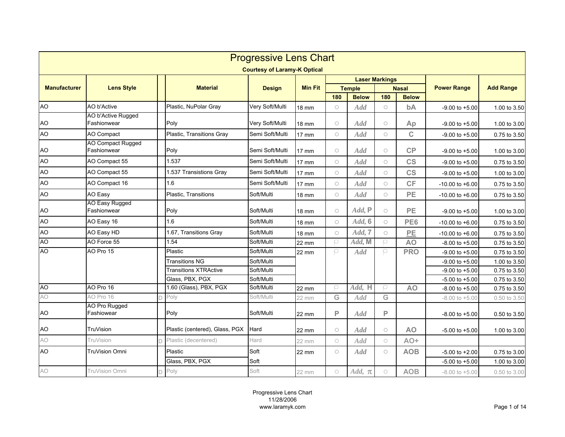|                     | <b>Progressive Lens Chart</b>           |  |                                |                                     |                 |              |                       |            |                |                     |                  |  |  |
|---------------------|-----------------------------------------|--|--------------------------------|-------------------------------------|-----------------|--------------|-----------------------|------------|----------------|---------------------|------------------|--|--|
|                     |                                         |  |                                | <b>Courtesy of Laramy-K Optical</b> |                 |              |                       |            |                |                     |                  |  |  |
|                     |                                         |  |                                |                                     |                 |              | <b>Laser Markings</b> |            |                |                     |                  |  |  |
| <b>Manufacturer</b> | <b>Lens Style</b>                       |  | <b>Material</b>                | <b>Design</b>                       | <b>Min Fit</b>  |              | <b>Temple</b>         |            | <b>Nasal</b>   | <b>Power Range</b>  | <b>Add Range</b> |  |  |
|                     |                                         |  |                                |                                     |                 | 180          | <b>Below</b>          | 180        | <b>Below</b>   |                     |                  |  |  |
| <b>AO</b>           | AO b'Active                             |  | Plastic, NuPolar Gray          | Very Soft/Multi                     | <b>18 mm</b>    | $\bigcirc$   | Add                   | $\bigcirc$ | bA             | $-9.00$ to $+5.00$  | 1.00 to 3.50     |  |  |
| <b>AO</b>           | AO b'Active Rugged<br>Fashionwear       |  | Poly                           | Very Soft/Multi                     | <b>18 mm</b>    | $\circ$      | <b>Add</b>            | $\circ$    | Ap             | $-9.00$ to $+5.00$  | 1.00 to 3.00     |  |  |
| AO                  | AO Compact                              |  | Plastic, Transitions Gray      | Semi Soft/Multi                     | 17 mm           | $\circ$      | Add                   | $\bigcirc$ | $\mathbf C$    | $-9.00$ to $+5.00$  | 0.75 to 3.50     |  |  |
| AO                  | <b>AO Compact Rugged</b><br>Fashionwear |  | Poly                           | Semi Soft/Multi                     | $17 \text{ mm}$ | $\circ$      | Add                   | $\bigcirc$ | CP             | $-9.00$ to $+5.00$  | 1.00 to 3.00     |  |  |
| <b>AO</b>           | AO Compact 55                           |  | 1.537                          | Semi Soft/Multi                     | $17 \text{ mm}$ | $\circ$      | Add                   | $\circ$    | <b>CS</b>      | $-9.00$ to $+5.00$  | 0.75 to 3.50     |  |  |
| AO                  | AO Compact 55                           |  | 1.537 Transistions Gray        | Semi Soft/Multi                     | 17 mm           | $\circ$      | Add                   | $\bigcirc$ | <b>CS</b>      | $-9.00$ to $+5.00$  | 1.00 to 3.00     |  |  |
| <b>AO</b>           | AO Compact 16                           |  | 1.6                            | Semi Soft/Multi                     | <b>17 mm</b>    | $\bigcirc$   | Add                   | $\bigcirc$ | CF             | $-10.00$ to $+6.00$ | 0.75 to 3.50     |  |  |
| AO                  | AO Easy                                 |  | Plastic, Transitions           | Soft/Multi                          | <b>18 mm</b>    | $\bigcirc$   | Add                   | $\bigcirc$ | PE             | $-10.00$ to $+6.00$ | 0.75 to 3.50     |  |  |
| AO                  | AO Easy Rugged<br>Fashionwear           |  | Poly                           | Soft/Multi                          | 18 mm           | $\circ$      | $Add$ , $P$           | $\bigcirc$ | <b>PE</b>      | $-9.00$ to $+5.00$  | 1.00 to 3.00     |  |  |
| <b>AO</b>           | AO Easy 16                              |  | 1.6                            | Soft/Multi                          | <b>18 mm</b>    | $\circ$      | Add, 6                | $\bigcirc$ | PE6            | $-10.00$ to $+6.00$ | 0.75 to 3.50     |  |  |
| <b>AO</b>           | AO Easy HD                              |  | 1.67, Transitions Gray         | Soft/Multi                          | <b>18 mm</b>    | $\bigcirc$   | Add, 7                | $\bigcirc$ | PE             | $-10.00$ to $+6.00$ | 0.75 to 3.50     |  |  |
| AO                  | AO Force 55                             |  | 1.54                           | Soft/Multi                          | 22 mm           | $\circ$      | Add, M                | O          | <b>AO</b>      | $-8.00$ to $+5.00$  | 0.75 to 3.50     |  |  |
| <b>OA</b>           | AO Pro 15                               |  | Plastic                        | Soft/Multi                          | 22 mm           | O            | <b>Add</b>            | р          | <b>PRO</b>     | $-9.00$ to $+5.00$  | 0.75 to 3.50     |  |  |
|                     |                                         |  | <b>Transitions NG</b>          | Soft/Multi                          |                 |              |                       |            |                | $-9.00$ to $+5.00$  | 1.00 to 3.50     |  |  |
|                     |                                         |  | <b>Transitions XTRActive</b>   | Soft/Multi                          |                 |              |                       |            |                | $-9.00$ to $+5.00$  | 0.75 to 3.50     |  |  |
|                     |                                         |  | Glass, PBX, PGX                | Soft/Multi                          |                 |              |                       |            |                | $-5.00$ to $+5.00$  | 0.75 to 3.50     |  |  |
| A <sub>O</sub>      | AO Pro 16                               |  | 1.60 (Glass), PBX, PGX         | Soft/Multi                          | 22 mm           | $\circ$      | Add, H                | O          | A <sub>O</sub> | $-8.00$ to $+5.00$  | 0.75 to 3.50     |  |  |
| AO                  | AO Pro 16                               |  | Poly                           | Soft/Multi                          | 22 mm           | G            | Add                   | G          |                | $-8.00$ to $+5.00$  | 0.50 to 3.50     |  |  |
| <b>AO</b>           | AO Pro Rugged<br>Fashiowear             |  | Poly                           | Soft/Multi                          | 22 mm           | $\mathsf{P}$ | Add                   | P          |                | $-8.00$ to $+5.00$  | 0.50 to 3.50     |  |  |
| AO                  | TruVision                               |  | Plastic (centered), Glass, PGX | Hard                                | 22 mm           | $\bigcirc$   | Add                   | $\circ$    | <b>AO</b>      | $-5.00$ to $+5.00$  | 1.00 to 3.00     |  |  |
| AO                  | TruVision                               |  | Plastic (decentered)           | Hard                                | 22 mm           | $\bigcirc$   | Add                   | $\bigcirc$ | AO+            |                     |                  |  |  |
| <b>AO</b>           | TruVision Omni                          |  | Plastic                        | Soft                                | 22 mm           | $\bigcirc$   | <b>Add</b>            | $\bigcirc$ | <b>AOB</b>     | $-5.00$ to $+2.00$  | 0.75 to 3.00     |  |  |
|                     |                                         |  | Glass, PBX, PGX                | Soft                                |                 |              |                       |            |                | $-5.00$ to $+5.00$  | 1.00 to 3.00     |  |  |
| AO                  | TruVision Omni                          |  | Poly                           | Soft                                | 22 mm           | $\bigcirc$   | $Add, \pi$            | $\circ$    | <b>AOB</b>     | $-8.00$ to $+5.00$  | 0.50 to 3.00     |  |  |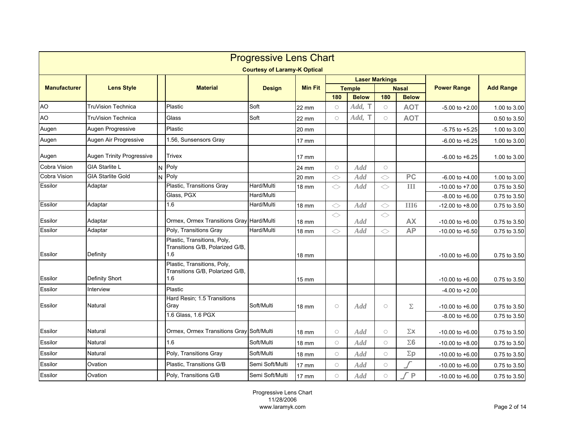|                     | <b>Progressive Lens Chart</b><br><b>Courtesy of Laramy-K Optical</b> |  |                                                                       |                 |                 |            |                               |            |                              |                                           |                              |  |
|---------------------|----------------------------------------------------------------------|--|-----------------------------------------------------------------------|-----------------|-----------------|------------|-------------------------------|------------|------------------------------|-------------------------------------------|------------------------------|--|
|                     |                                                                      |  |                                                                       |                 |                 |            |                               |            |                              |                                           |                              |  |
|                     |                                                                      |  |                                                                       |                 | <b>Min Fit</b>  |            | <b>Laser Markings</b>         |            |                              |                                           |                              |  |
| <b>Manufacturer</b> | <b>Lens Style</b>                                                    |  | <b>Material</b>                                                       | <b>Design</b>   |                 | 180        | <b>Temple</b><br><b>Below</b> | 180        | <b>Nasal</b><br><b>Below</b> | <b>Power Range</b>                        | <b>Add Range</b>             |  |
| <b>AO</b>           | TruVision Technica                                                   |  | Plastic                                                               | Soft            | 22 mm           | $\bigcirc$ | Add, T                        | $\bigcirc$ | <b>AOT</b>                   | $-5.00$ to $+2.00$                        | 1.00 to 3.00                 |  |
| <b>AO</b>           | TruVision Technica                                                   |  | Glass                                                                 | Soft            | 22 mm           | $\circ$    | Add, T                        | $\bigcirc$ | <b>AOT</b>                   |                                           | 0.50 to 3.50                 |  |
| Augen               | Augen Progressive                                                    |  | Plastic                                                               |                 |                 |            |                               |            |                              |                                           | 1.00 to 3.00                 |  |
| Augen               | Augen Air Progressive                                                |  | 1.56, Sunsensors Gray                                                 |                 | 20 mm<br>17 mm  |            |                               |            |                              | $-5.75$ to $+5.25$<br>$-6.00$ to $+6.25$  | 1.00 to 3.00                 |  |
| Augen               | Augen Trinity Progressive                                            |  | Trivex                                                                |                 | $17$ mm         |            |                               |            |                              | $-6.00$ to $+6.25$                        | 1.00 to 3.00                 |  |
| Cobra Vision        | <b>GIA Starlite L</b>                                                |  | Poly                                                                  |                 | 24 mm           | $\bigcirc$ | Add                           | $\bigcirc$ |                              |                                           |                              |  |
| Cobra Vision        | <b>GIA Starlite Gold</b>                                             |  | $N$ Poly                                                              |                 | 20 mm           | ◇          | <b>Add</b>                    | ◇          | PC                           | $-6.00$ to $+4.00$                        | 1.00 to 3.00                 |  |
| Essilor             | Adaptar                                                              |  | Plastic, Transitions Gray                                             | Hard/Multi      | 18 mm           | ◇          | <b>Add</b>                    | $\Diamond$ | III                          | $-10.00$ to $+7.00$                       | 0.75 to 3.50                 |  |
|                     |                                                                      |  | Glass, PGX                                                            | Hard/Multi      |                 |            |                               |            |                              | $-8.00$ to $+6.00$                        | 0.75 to 3.50                 |  |
| Essilor             | Adaptar                                                              |  | 1.6                                                                   | Hard/Multi      | <b>18 mm</b>    | $\Diamond$ | Add                           | ◇          | <b>III6</b>                  | $-12.00$ to $+8.00$                       | 0.75 to 3.50                 |  |
| Essilor             | Adaptar                                                              |  | Ormex, Ormex Transitions Gray                                         | Hard/Multi      | 18 mm           | $\Diamond$ | Add                           | $\Diamond$ | <b>AX</b>                    | $-10.00$ to $+6.00$                       | 0.75 to 3.50                 |  |
| Essilor             | Adaptar                                                              |  | Poly, Transitions Gray                                                | Hard/Multi      | <b>18 mm</b>    | $\Diamond$ | Add                           | $\Diamond$ | <b>AP</b>                    | $-10.00$ to $+6.50$                       | 0.75 to 3.50                 |  |
| Essilor             | Definity                                                             |  | Plastic, Transitions, Poly,<br>Transitions G/B, Polarized G/B.<br>1.6 |                 | 18 mm           |            |                               |            |                              | $-10.00$ to $+6.00$                       | 0.75 to 3.50                 |  |
| Essilor             | <b>Definity Short</b>                                                |  | Plastic, Transitions, Poly,<br>Transitions G/B, Polarized G/B,<br>1.6 |                 | $15 \text{ mm}$ |            |                               |            |                              | $-10.00$ to $+6.00$                       | 0.75 to 3.50                 |  |
| Essilor             | Interview                                                            |  | Plastic                                                               |                 |                 |            |                               |            |                              | $-4.00$ to $+2.00$                        |                              |  |
| Essilor             | Natural                                                              |  | Hard Resin; 1.5 Transitions<br>Gray<br>1.6 Glass, 1.6 PGX             | Soft/Multi      | <b>18 mm</b>    | $\bigcirc$ | <b>Add</b>                    | $\bigcirc$ | $\Sigma$                     | $-10.00$ to $+6.00$<br>$-8.00$ to $+6.00$ | 0.75 to 3.50<br>0.75 to 3.50 |  |
| Essilor             | Natural                                                              |  | Ormex, Ormex Transitions Gray                                         | Soft/Multi      | 18 mm           | $\circ$    | Add                           | $\circ$    | $\Sigma\mathbf{X}$           | $-10.00$ to $+6.00$                       | 0.75 to 3.50                 |  |
| Essilor             | Natural                                                              |  | 1.6                                                                   | Soft/Multi      | <b>18 mm</b>    | $\circ$    | <b>Add</b>                    | $\circ$    | $\Sigma$ 6                   | $-10.00$ to $+8.00$                       | 0.75 to 3.50                 |  |
| Essilor             | Natural                                                              |  | Poly, Transitions Gray                                                | Soft/Multi      | 18 mm           | $\circ$    | Add                           | $\bigcirc$ | $\Sigma p$                   | $-10.00$ to $+6.00$                       | 0.75 to 3.50                 |  |
| Essilor             | Ovation                                                              |  | Plastic, Transitions G/B                                              | Semi Soft/Multi | 17 mm           | $\circ$    | Add                           | $\bigcirc$ |                              | $-10.00$ to $+6.00$                       | 0.75 to 3.50                 |  |
| Essilor             | Ovation                                                              |  | Poly, Transitions G/B                                                 | Semi Soft/Multi | 17 mm           | $\bigcirc$ | <b>Add</b>                    | $\circ$    | ſР                           | $-10.00$ to $+6.00$                       | 0.75 to 3.50                 |  |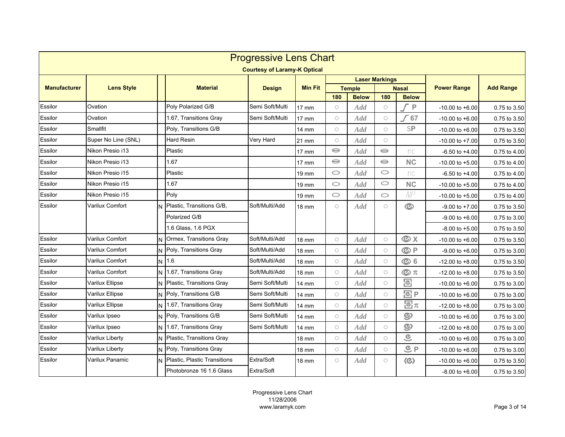| <b>Progressive Lens Chart</b> |                        |   |                              |                                     |                 |            |               |                       |                                   |                     |                  |
|-------------------------------|------------------------|---|------------------------------|-------------------------------------|-----------------|------------|---------------|-----------------------|-----------------------------------|---------------------|------------------|
|                               |                        |   |                              | <b>Courtesy of Laramy-K Optical</b> |                 |            |               |                       |                                   |                     |                  |
|                               |                        |   |                              |                                     |                 |            |               | <b>Laser Markings</b> |                                   |                     |                  |
| <b>Manufacturer</b>           | <b>Lens Style</b>      |   | <b>Material</b>              | <b>Design</b>                       | <b>Min Fit</b>  |            | <b>Temple</b> |                       | <b>Nasal</b>                      | <b>Power Range</b>  | <b>Add Range</b> |
|                               |                        |   |                              |                                     |                 | 180        | <b>Below</b>  | 180                   | <b>Below</b>                      |                     |                  |
| Essilor                       | Ovation                |   | Poly Polarized G/B           | Semi Soft/Multi                     | 17 mm           | $\circ$    | Add           | $\circ$               | P                                 | $-10.00$ to $+6.00$ | 0.75 to 3.50     |
| Essilor                       | Ovation                |   | 1.67, Transitions Gray       | Semi Soft/Multi                     | $17 \text{ mm}$ | $\bigcirc$ | Add           | $\bigcirc$            | 67                                | $-10.00$ to $+6.00$ | 0.75 to 3.50     |
| Essilor                       | Smallfit               |   | Poly, Transitions G/B        |                                     | 14 mm           | $\bigcirc$ | Add           | $\bigcirc$            | SP                                | $-10.00$ to $+6.00$ | 0.75 to 3.50     |
| Essilor                       | Super No Line (SNL)    |   | Hard Resin                   | Very Hard                           | 21 mm           | $\bigcirc$ | Add           | $\circ$               |                                   | $-10.00$ to $+7.00$ | 0.75 to 3.50     |
| Essilor                       | Nikon Presio i13       |   | Plastic                      |                                     | $17 \text{ mm}$ | $\ominus$  | Add           | $\ominus$             | nc                                | $-6.50$ to $+4.00$  | 0.75 to 4.00     |
| Essilor                       | Nikon Presio i13       |   | 1.67                         |                                     | $17 \text{ mm}$ | $\ominus$  | <b>Add</b>    | $\ominus$             | NC                                | $-10.00$ to $+5.00$ | 0.75 to 4.00     |
| Essilor                       | Nikon Presio i15       |   | Plastic                      |                                     | $19 \text{ mm}$ | $\circ$    | <b>Add</b>    | $\circ$               | nc                                | $-6.50$ to $+4.00$  | 0.75 to 4.00     |
| Essilor                       | Nikon Presio i15       |   | 1.67                         |                                     | 19 mm           | $\circ$    | <b>Add</b>    | $\circ$               | NC                                | $-10.00$ to $+5.00$ | 0.75 to 4.00     |
| Essilor                       | Nikon Presio i15       |   | Poly                         |                                     | 19 mm           | $\circ$    | <b>Add</b>    | $\circ$               | NP                                | $-10.00$ to $+5.00$ | 0.75 to 4.00     |
| Essilor                       | Varilux Comfort        |   | Plastic, Transitions G/B,    | Soft/Multi/Add                      | 18 mm           | $\circ$    | <b>Add</b>    | $\circ$               | $\circledcirc$                    | $-9.00$ to $+7.00$  | 0.75 to 3.50     |
|                               |                        |   | Polarized G/B                |                                     |                 |            |               |                       |                                   | $-9.00$ to $+6.00$  | 0.75 to 3.00     |
|                               |                        |   | 1.6 Glass, 1.6 PGX           |                                     |                 |            |               |                       |                                   | $-8.00$ to $+5.00$  | 0.75 to 3.50     |
| Essilor                       | Varilux Comfort        | N | Ormex, Transitions Gray      | Soft/Multi/Add                      | 18 mm           | $\circ$    | <b>Add</b>    | $\bigcirc$            | <b>OX</b>                         | $-10.00$ to $+6.00$ | 0.75 to 3.50     |
| Essilor                       | Varilux Comfort        |   | N Poly, Transitions Gray     | Soft/Multi/Add                      | 18 mm           | $\circ$    | Add           | $\bigcirc$            | ©P                                | $-9.00$ to $+6.00$  | 0.75 to 3.00     |
| Essilor                       | Varilux Comfort        |   | N 1.6                        | Soft/Multi/Add                      | <b>18 mm</b>    | $\circ$    | Add           | $\bigcirc$            | <b>©6</b>                         | $-12.00$ to $+8.00$ | 0.75 to 3.50     |
| Essilor                       | Varilux Comfort        | N | 1.67, Transitions Gray       | Soft/Multi/Add                      | <b>18 mm</b>    | $\bigcirc$ | Add           | $\circ$               | $\circledcirc$ $\pi$              | $-12.00$ to $+8.00$ | 0.75 to 3.50     |
| Essilor                       | Varilux Ellipse        | N | Plastic, Transitions Gray    | Semi Soft/Multi                     | 14 mm           | $\circ$    | Add           | $\bigcirc$            | 図                                 | $-10.00$ to $+6.00$ | 0.75 to 3.00     |
| Essilor                       | Varilux Ellipse        | N | Poly, Transitions G/B        | Semi Soft/Multi                     | 14 mm           | $\bigcirc$ | Add           | $\circ$               | <b>图P</b>                         | $-10.00$ to $+6.00$ | 0.75 to 3.00     |
| Essilor                       | Varilux Ellipse        | N | 1.67, Transitions Gray       | Semi Soft/Multi                     | 14 mm           | $\bigcirc$ | Add           | $\bigcirc$            | $\Xi \pi$                         | $-12.00$ to $+8.00$ | 0.75 to 3.00     |
| Essilor                       | Varilux Ipseo          | N | Poly, Transitions G/B        | Semi Soft/Multi                     | 14 mm           | $\bigcirc$ | Add           | $\bigcirc$            | ඉ                                 | $-10.00$ to $+6.00$ | 0.75 to 3.00     |
| Essilor                       | Varilux Ipseo          | N | 1.67, Transitions Gray       | Semi Soft/Multi                     | 14 mm           | $\circ$    | Add           | $\bigcirc$            | ඉ                                 | $-12.00$ to $+8.00$ | 0.75 to 3.00     |
| Essilor                       | <b>Varilux Liberty</b> |   | Plastic, Transitions Gray    |                                     | 18 mm           | $\circ$    | Add           | $\bigcirc$            | $\widehat{\in}$                   | $-10.00$ to $+6.00$ | 0.75 to 3.00     |
| Essilor                       | Varilux Liberty        | N | Poly, Transitions Gray       |                                     | 18 mm           | $\bigcirc$ | Add           | $\bigcirc$            | $C_P$                             | $-10.00$ to $+6.00$ | 0.75 to 3.00     |
| Essilor                       | Varilux Panamic        |   | Plastic, Plastic Transitions | Extra/Soft                          | <b>18 mm</b>    | $\circ$    | <b>Add</b>    | $\bigcirc$            | $\langle \textcircled{c} \rangle$ | $-10.00$ to $+6.00$ | 0.75 to 3.50     |
|                               |                        |   | Photobronze 16 1.6 Glass     | Extra/Soft                          |                 |            |               |                       |                                   | $-8.00$ to $+6.00$  | 0.75 to 3.50     |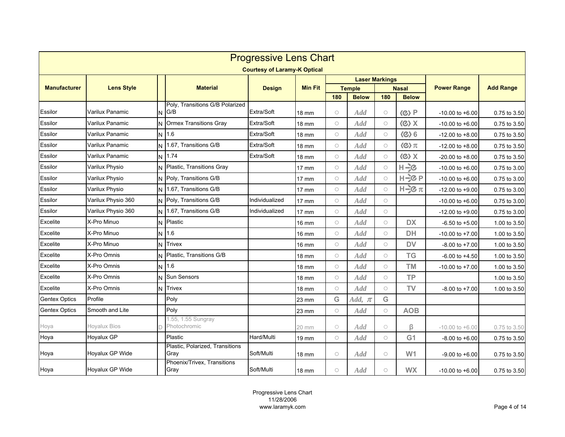| <b>Progressive Lens Chart</b> |                     |   |                                         |                                     |                 |            |                               |            |                                     |                     |                  |  |
|-------------------------------|---------------------|---|-----------------------------------------|-------------------------------------|-----------------|------------|-------------------------------|------------|-------------------------------------|---------------------|------------------|--|
|                               |                     |   |                                         | <b>Courtesy of Laramy-K Optical</b> |                 |            |                               |            |                                     |                     |                  |  |
|                               |                     |   |                                         |                                     |                 |            | <b>Laser Markings</b>         |            |                                     |                     |                  |  |
| <b>Manufacturer</b>           | <b>Lens Style</b>   |   | <b>Material</b>                         | <b>Design</b>                       | <b>Min Fit</b>  | 180        | <b>Temple</b><br><b>Below</b> | 180        | <b>Nasal</b><br><b>Below</b>        | <b>Power Range</b>  | <b>Add Range</b> |  |
| Essilor                       | Varilux Panamic     | N | Poly, Transitions G/B Polarized<br>G/B  | Extra/Soft                          | <b>18 mm</b>    | $\bigcirc$ | Add                           | $\bigcirc$ | $\langle \textcircled{c} \rangle$ P | $-10.00$ to $+6.00$ | 0.75 to 3.50     |  |
| Essilor                       | Varilux Panamic     |   | <b>Ormex Transitions Gray</b>           | Extra/Soft                          | 18 mm           | $\bigcirc$ | Add                           | $\bigcirc$ | $\langle \textcircled{c} \rangle$ X | $-10.00$ to $+6.00$ | 0.75 to 3.50     |  |
| Essilor                       | Varilux Panamic     | N | 1.6                                     | Extra/Soft                          | 18 mm           | $\bigcirc$ | Add                           | $\bigcirc$ | $\langle \text{C} \rangle$ 6        | $-12.00$ to $+8.00$ | 0.75 to 3.50     |  |
| Essilor                       | Varilux Panamic     |   | 1.67. Transitions G/B                   | Extra/Soft                          | <b>18 mm</b>    | $\bigcirc$ | Add                           | $\bigcirc$ | $\langle \text{C} \rangle \pi$      | $-12.00$ to $+8.00$ | 0.75 to 3.50     |  |
| Essilor                       | Varilux Panamic     | N | 1.74                                    | Extra/Soft                          | 18 mm           | $\bigcirc$ | Add                           | $\bigcirc$ | $(X \langle S \rangle)$             | $-20.00$ to $+8.00$ | 0.75 to 3.50     |  |
| Essilor                       | Varilux Physio      |   | Plastic, Transitions Gray               |                                     | $17 \text{ mm}$ | $\circ$    | <b>Add</b>                    | $\bigcirc$ | H÷c                                 | $-10.00$ to $+6.00$ | 0.75 to 3.00     |  |
| Essilor                       | Varilux Physio      | N | Poly, Transitions G/B                   |                                     | 17 mm           | $\circ$    | Add                           | $\bigcirc$ | H-}CP                               | $-10.00$ to $+6.00$ | 0.75 to 3.00     |  |
| Essilor                       | Varilux Physio      | N | 1.67, Transitions G/B                   |                                     | 17 mm           | $\circ$    | Add                           | $\bigcirc$ | $H = \mathcal{C} \pi$               | $-12.00$ to $+9.00$ | 0.75 to 3.00     |  |
| Essilor                       | Varilux Physio 360  | N | Poly, Transitions G/B                   | Individualized                      | <b>17 mm</b>    | $\bigcirc$ | Add                           | $\bigcirc$ |                                     | $-10.00$ to $+6.00$ | 0.75 to 3.00     |  |
| Essilor                       | Varilux Physio 360  | N | 1.67, Transitions G/B                   | Individualized                      | $17$ mm         | $\circ$    | Add                           | $\bigcirc$ |                                     | $-12.00$ to $+9.00$ | 0.75 to 3.00     |  |
| Excelite                      | X-Pro Minuo         | N | Plastic                                 |                                     | 16 mm           | $\circ$    | Add                           | $\circ$    | <b>DX</b>                           | $-6.50$ to $+5.00$  | 1.00 to 3.50     |  |
| Excelite                      | X-Pro Minuo         |   | N 1.6                                   |                                     | 16 mm           | $\circ$    | <b>Add</b>                    | $\circ$    | <b>DH</b>                           | $-10.00$ to $+7.00$ | 1.00 to 3.50     |  |
| Excelite                      | X-Pro Minuo         | N | <b>Trivex</b>                           |                                     | 16 mm           | $\circ$    | <b>Add</b>                    | $\bigcirc$ | <b>DV</b>                           | $-8.00$ to $+7.00$  | 1.00 to 3.50     |  |
| <b>Excelite</b>               | X-Pro Omnis         |   | Plastic, Transitions G/B                |                                     | <b>18 mm</b>    | $\circ$    | <b>Add</b>                    | $\bigcirc$ | <b>TG</b>                           | $-6.00$ to $+4.50$  | 1.00 to 3.50     |  |
| Excelite                      | X-Pro Omnis         | N | 1.6                                     |                                     | <b>18 mm</b>    | $\circ$    | <b>Add</b>                    | $\circ$    | <b>TM</b>                           | $-10.00$ to $+7.00$ | 1.00 to 3.50     |  |
| Excelite                      | X-Pro Omnis         |   | Sun Sensors                             |                                     | 18 mm           | $\circ$    | Add                           | $\bigcirc$ | <b>TP</b>                           |                     | 1.00 to 3.50     |  |
| <b>Excelite</b>               | X-Pro Omnis         | N | <b>Trivex</b>                           |                                     | 18 mm           | $\circ$    | Add                           | $\circ$    | TV                                  | $-8.00$ to $+7.00$  | 1.00 to 3.50     |  |
| <b>Gentex Optics</b>          | Profile             |   | Poly                                    |                                     | 23 mm           | G          | Add, $\pi$                    | G          |                                     |                     |                  |  |
| <b>Gentex Optics</b>          | Smooth and Lite     |   | Poly                                    |                                     | 23 mm           | $\circ$    | Add                           | $\circ$    | <b>AOB</b>                          |                     |                  |  |
| Hoya                          | <b>Hoyalux Bios</b> |   | 1.55, 1.55 Sungray<br>Photochromic      |                                     | 20 mm           | $\circ$    | Add                           | $\bigcirc$ | β                                   | $-10.00$ to $+6.00$ | 0.75 to 3.50     |  |
| Hoya                          | Hoyalux GP          |   | Plastic                                 | Hard/Multi                          | 19 mm           | $\bigcirc$ | Add                           | $\bigcirc$ | G <sub>1</sub>                      | $-8.00$ to $+6.00$  | 0.75 to 3.50     |  |
| Hoya                          | Hoyalux GP Wide     |   | Plastic, Polarized, Transitions<br>Gray | Soft/Multi                          | 18 mm           | $\bigcirc$ | Add                           | $\bigcirc$ | W <sub>1</sub>                      | $-9.00$ to $+6.00$  | 0.75 to 3.50     |  |
| Hoya                          | Hoyalux GP Wide     |   | Phoenix/Trivex, Transitions<br>Gray     | Soft/Multi                          | 18 mm           | $\circ$    | Add                           | $\bigcirc$ | <b>WX</b>                           | $-10.00$ to $+6.00$ | 0.75 to 3.50     |  |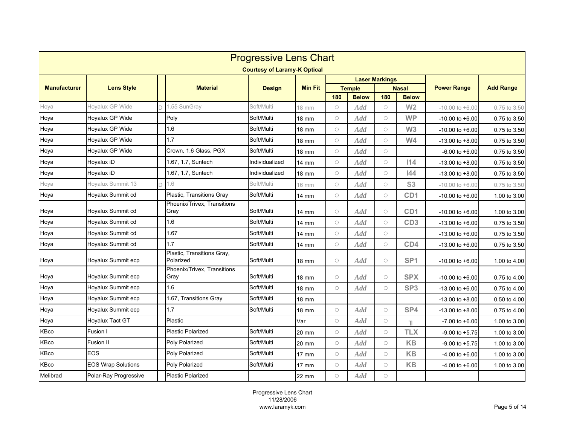|                     | <b>Progressive Lens Chart</b> |  |                                         |                                     |                 |            |               |                       |                 |                     |                  |  |
|---------------------|-------------------------------|--|-----------------------------------------|-------------------------------------|-----------------|------------|---------------|-----------------------|-----------------|---------------------|------------------|--|
|                     |                               |  |                                         | <b>Courtesy of Laramy-K Optical</b> |                 |            |               |                       |                 |                     |                  |  |
|                     |                               |  |                                         |                                     |                 |            |               | <b>Laser Markings</b> |                 |                     |                  |  |
| <b>Manufacturer</b> | <b>Lens Style</b>             |  | <b>Material</b>                         | <b>Design</b>                       | <b>Min Fit</b>  |            | <b>Temple</b> |                       | <b>Nasal</b>    | <b>Power Range</b>  | <b>Add Range</b> |  |
|                     |                               |  |                                         |                                     |                 | 180        | <b>Below</b>  | 180                   | <b>Below</b>    |                     |                  |  |
| Hoya                | Hoyalux GP Wide               |  | 1.55 SunGray                            | Soft/Multi                          | 18 mm           | $\bigcirc$ | <b>Add</b>    | $\bigcirc$            | W <sub>2</sub>  | $-10.00$ to $+6.00$ | 0.75 to 3.50     |  |
| Hoya                | Hoyalux GP Wide               |  | Poly                                    | Soft/Multi                          | 18 mm           | $\circ$    | Add           | $\bigcirc$            | <b>WP</b>       | $-10.00$ to $+6.00$ | 0.75 to 3.50     |  |
| Hoya                | Hoyalux GP Wide               |  | 1.6                                     | Soft/Multi                          | 18 mm           | $\bigcirc$ | Add           | $\circ$               | W3              | $-10.00$ to $+6.00$ | 0.75 to 3.50     |  |
| Hoya                | Hoyalux GP Wide               |  | 1.7                                     | Soft/Multi                          | 18 mm           | $\bigcirc$ | Add           | $\bigcirc$            | W <sub>4</sub>  | $-13.00$ to $+8.00$ | 0.75 to 3.50     |  |
| Hoya                | Hoyalux GP Wide               |  | Crown, 1.6 Glass, PGX                   | Soft/Multi                          | 18 mm           | $\bigcirc$ | Add           | $\bigcirc$            |                 | $-6.00$ to $+6.00$  | 0.75 to 3.50     |  |
| Hoya                | Hovalux iD                    |  | 1.67, 1.7, Suntech                      | Individualized                      | 14 mm           | $\circ$    | Add           | $\bigcirc$            | 114             | $-13.00$ to $+8.00$ | 0.75 to 3.50     |  |
| Hoya                | Hoyalux iD                    |  | 1.67, 1.7, Suntech                      | Individualized                      | 18 mm           | $\bigcirc$ | Add           | $\circ$               | 44              | $-13.00$ to $+8.00$ | 0.75 to 3.50     |  |
| Hoya                | Hoyalux Summit 13             |  | 1.6                                     | Soft/Multi                          | 16 mm           | $\bigcirc$ | <b>Add</b>    | $\bigcirc$            | S <sub>3</sub>  | $-10.00$ to $+6.00$ | 0.75 to 3.50     |  |
| Hoya                | Hoyalux Summit cd             |  | Plastic, Transitions Gray               | Soft/Multi                          | 14 mm           | $\bigcirc$ | Add           | $\bigcirc$            | CD <sub>1</sub> | $-10.00$ to $+6.00$ | 1.00 to 3.00     |  |
| Hoya                | Hoyalux Summit cd             |  | Phoenix/Trivex, Transitions<br>Gray     | Soft/Multi                          | 14 mm           | $\bigcirc$ | <b>Add</b>    | $\bigcirc$            | CD1             | $-10.00$ to $+6.00$ | 1.00 to 3.00     |  |
| Hoya                | Hoyalux Summit cd             |  | 1.6                                     | Soft/Multi                          | 14 mm           | $\bigcirc$ | Add           | $\bigcirc$            | CD <sub>3</sub> | $-13.00$ to $+6.00$ | 0.75 to 3.50     |  |
| Hoya                | Hoyalux Summit cd             |  | 1.67                                    | Soft/Multi                          | 14 mm           | $\bigcirc$ | Add           | $\bigcirc$            |                 | $-13.00$ to $+6.00$ | 0.75 to 3.50     |  |
| Hoya                | Hoyalux Summit cd             |  | 1.7                                     | Soft/Multi                          | 14 mm           | $\bigcirc$ | <b>Add</b>    | $\bigcirc$            | CD4             | $-13.00$ to $+6.00$ | 0.75 to 3.50     |  |
| Hoya                | Hoyalux Summit ecp            |  | Plastic, Transitions Gray,<br>Polarized | Soft/Multi                          | 18 mm           | $\circ$    | Add           | $\circ$               | SP <sub>1</sub> | $-10.00$ to $+6.00$ | 1.00 to 4.00     |  |
| Hoya                | Hoyalux Summit ecp            |  | Phoenix/Trivex, Transitions<br>Gray     | Soft/Multi                          | 18 mm           | $\circ$    | Add           | $\circ$               | <b>SPX</b>      | $-10.00$ to $+6.00$ | 0.75 to 4.00     |  |
| Hoya                | Hoyalux Summit ecp            |  | 1.6                                     | Soft/Multi                          | 18 mm           | $\circ$    | <b>Add</b>    | $\circ$               | SP <sub>3</sub> | $-13.00$ to $+6.00$ | 0.75 to 4.00     |  |
| Hoya                | Hoyalux Summit ecp            |  | 1.67, Transitions Gray                  | Soft/Multi                          | 18 mm           |            |               |                       |                 | $-13.00$ to $+8.00$ | 0.50 to 4.00     |  |
| Hoya                | Hoyalux Summit ecp            |  | 1.7                                     | Soft/Multi                          | 18 mm           | $\circ$    | Add           | $\circ$               | SP4             | $-13.00$ to $+8.00$ | 0.75 to 4.00     |  |
| Hoya                | Hoyalux Tact GT               |  | Plastic                                 |                                     | Var             | $\circ$    | Add           | $\bigcirc$            | T.              | $-7.00$ to $+6.00$  | 1.00 to 3.00     |  |
| <b>KBco</b>         | Fusion I                      |  | <b>Plastic Polarized</b>                | Soft/Multi                          | 20 mm           | $\circ$    | Add           | $\bigcirc$            | <b>TLX</b>      | $-9.00$ to $+5.75$  | 1.00 to 3.00     |  |
| KBco                | Fusion II                     |  | Poly Polarized                          | Soft/Multi                          | 20 mm           | $\circ$    | <b>Add</b>    | $\circ$               | <b>KB</b>       | $-9.00$ to $+5.75$  | 1.00 to 3.00     |  |
| KBco                | EOS                           |  | Poly Polarized                          | Soft/Multi                          | $17 \text{ mm}$ | $\bigcirc$ | Add           | $\bigcirc$            | <b>KB</b>       | $-4.00$ to $+6.00$  | 1.00 to 3.00     |  |
| KBco                | <b>EOS Wrap Solutions</b>     |  | Poly Polarized                          | Soft/Multi                          | 17 mm           | $\circ$    | <b>Add</b>    | $\circ$               | <b>KB</b>       | $-4.00$ to $+6.00$  | 1.00 to 3.00     |  |
| Melibrad            | Polar-Ray Progressive         |  | <b>Plastic Polarized</b>                |                                     | 22 mm           | $\circ$    | Add           | $\bigcirc$            |                 |                     |                  |  |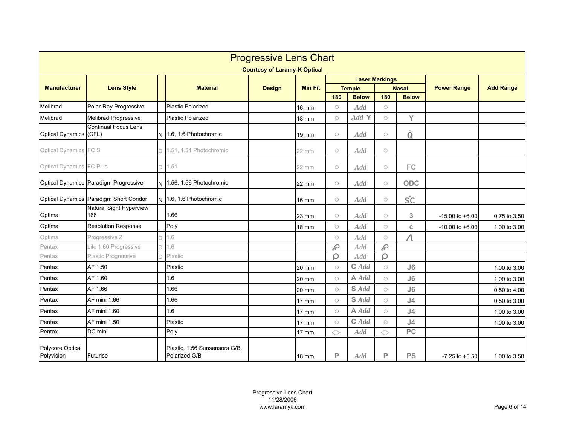|                                 | <b>Progressive Lens Chart</b>           |  |                                                |                                     |                 |            |               |                       |                 |                     |                  |  |  |
|---------------------------------|-----------------------------------------|--|------------------------------------------------|-------------------------------------|-----------------|------------|---------------|-----------------------|-----------------|---------------------|------------------|--|--|
|                                 |                                         |  |                                                | <b>Courtesy of Laramy-K Optical</b> |                 |            |               |                       |                 |                     |                  |  |  |
|                                 |                                         |  |                                                |                                     |                 |            |               | <b>Laser Markings</b> |                 |                     |                  |  |  |
| <b>Manufacturer</b>             | <b>Lens Style</b>                       |  | <b>Material</b>                                | <b>Design</b>                       | <b>Min Fit</b>  |            | <b>Temple</b> |                       | <b>Nasal</b>    | <b>Power Range</b>  | <b>Add Range</b> |  |  |
|                                 |                                         |  |                                                |                                     |                 | 180        | <b>Below</b>  | 180                   | <b>Below</b>    |                     |                  |  |  |
| Melibrad                        | Polar-Ray Progressive                   |  | <b>Plastic Polarized</b>                       |                                     | 16 mm           | $\bigcirc$ | <b>Add</b>    | $\bigcirc$            |                 |                     |                  |  |  |
| Melibrad                        | Melibrad Progressive                    |  | <b>Plastic Polarized</b>                       |                                     | <b>18 mm</b>    | $\bigcirc$ | Add Y         | $\bigcirc$            | Y               |                     |                  |  |  |
| Optical Dynamics (CFL)          | <b>Continual Focus Lens</b>             |  | 1.6, 1.6 Photochromic                          |                                     | 19 mm           | $\circ$    | <b>Add</b>    | $\bigcirc$            | Ó               |                     |                  |  |  |
| Optical Dynamics FC S           |                                         |  | 1.51, 1.51 Photochromic                        |                                     | 22 mm           | $\circ$    | <b>Add</b>    | $\bigcirc$            |                 |                     |                  |  |  |
| <b>Optical Dynamics FC Plus</b> |                                         |  | 1.51                                           |                                     | 22 mm           | $\circ$    | Add           | $\bigcirc$            | FC              |                     |                  |  |  |
|                                 | Optical Dynamics Paradigm Progressive   |  | N 1.56, 1.56 Photochromic                      |                                     | $22 \text{ mm}$ | $\bigcirc$ | <b>Add</b>    | $\bigcirc$            | <b>ODC</b>      |                     |                  |  |  |
|                                 | Optical Dynamics Paradigm Short Coridor |  | 1.6, 1.6 Photochromic                          |                                     | <b>16 mm</b>    | $\bigcirc$ | Add           | $\bigcirc$            | SC              |                     |                  |  |  |
| Optima                          | Natural Sight Hyperview<br>166          |  | 1.66                                           |                                     | 23 mm           | $\circ$    | Add           | $\bigcirc$            | 3               | $-15.00$ to $+6.00$ | 0.75 to 3.50     |  |  |
| Optima                          | <b>Resolution Response</b>              |  | Poly                                           |                                     | 18 mm           | $\bigcirc$ | Add           | $\bigcirc$            | C.              | $-10.00$ to $+6.00$ | 1.00 to 3.00     |  |  |
| Optima                          | Progressive Z                           |  | 1.6                                            |                                     |                 | $\bigcirc$ | Add           | $\bigcirc$            | $\Lambda$       |                     |                  |  |  |
| Pentax                          | Lite 1.60 Progressive                   |  | 1.6                                            |                                     |                 | P          | Add           | P                     |                 |                     |                  |  |  |
| Pentax                          | Plastic Progressive                     |  | Plastic                                        |                                     |                 | ρ          | <b>Add</b>    | ρ                     |                 |                     |                  |  |  |
| Pentax                          | AF 1.50                                 |  | Plastic                                        |                                     | 20 mm           | $\circ$    | $C$ $Add$     | $\circ$               | J6              |                     | 1.00 to 3.00     |  |  |
| Pentax                          | AF 1.60                                 |  | 1.6                                            |                                     | 20 mm           | $\bigcirc$ | $A \text{Ad}$ | $\bigcirc$            | J6              |                     | 1.00 to 3.00     |  |  |
| Pentax                          | AF 1.66                                 |  | 1.66                                           |                                     | 20 mm           | $\circ$    | S Add         | $\bigcirc$            | J6              |                     | 0.50 to 4.00     |  |  |
| Pentax                          | AF mini 1.66                            |  | 1.66                                           |                                     | 17 mm           | $\circ$    | S Add         | $\circ$               | J <sub>4</sub>  |                     | 0.50 to 3.00     |  |  |
| Pentax                          | AF mini 1.60                            |  | 1.6                                            |                                     | $17 \text{ mm}$ | $\circ$    | $A$ Add       | $\bigcirc$            | J <sub>4</sub>  |                     | 1.00 to 3.00     |  |  |
| Pentax                          | AF mini 1.50                            |  | Plastic                                        |                                     | 17 mm           | $\bigcirc$ | $C$ $Add$     | $\circ$               | J <sub>4</sub>  |                     | 1.00 to 3.00     |  |  |
| Pentax                          | DC mini                                 |  | Poly                                           |                                     | 17 mm           | ◇          | Add           | ◇                     | $\overline{PC}$ |                     |                  |  |  |
| Polycore Optical<br>Polyvision  | Futurise                                |  | Plastic, 1.56 Sunsensors G/B,<br>Polarized G/B |                                     | <b>18 mm</b>    | P          | Add           | P                     | <b>PS</b>       | $-7.25$ to $+6.50$  | 1.00 to 3.50     |  |  |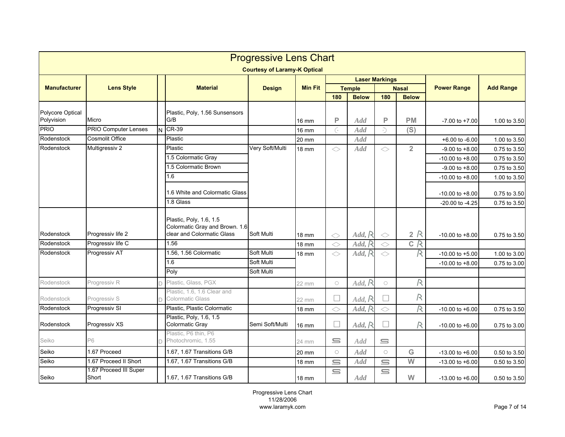|                                | <b>Progressive Lens Chart</b><br><b>Courtesy of Laramy-K Optical</b> |   |                                                                                         |                          |                 |             |                                        |             |                |                                           |                              |  |
|--------------------------------|----------------------------------------------------------------------|---|-----------------------------------------------------------------------------------------|--------------------------|-----------------|-------------|----------------------------------------|-------------|----------------|-------------------------------------------|------------------------------|--|
|                                |                                                                      |   |                                                                                         |                          |                 |             |                                        |             |                |                                           |                              |  |
| <b>Manufacturer</b>            | <b>Lens Style</b>                                                    |   | <b>Material</b>                                                                         | <b>Design</b>            | <b>Min Fit</b>  |             | <b>Laser Markings</b><br><b>Temple</b> |             | <b>Nasal</b>   | <b>Power Range</b>                        | <b>Add Range</b>             |  |
|                                |                                                                      |   |                                                                                         |                          |                 | 180         | <b>Below</b>                           | 180         | <b>Below</b>   |                                           |                              |  |
| Polycore Optical<br>Polyvision | Micro                                                                |   | Plastic, Poly, 1.56 Sunsensors<br>G/B                                                   |                          | 16 mm           | P           | $\mathcal{A}$ dd                       | P           | <b>PM</b>      | $-7.00$ to $+7.00$                        | 1.00 to 3.50                 |  |
| PRIO                           | <b>PRIO Computer Lenses</b>                                          | N | <b>CR-39</b>                                                                            |                          | 16 mm           | G.          | Add                                    | $\supset$   | (S)            |                                           |                              |  |
| Rodenstock                     | <b>Cosmolit Office</b>                                               |   | Plastic                                                                                 |                          | 20 mm           |             | <b>Add</b>                             |             |                | +6.00 to -6.00                            | 1.00 to 3.50                 |  |
| Rodenstock                     | Multigressiv 2                                                       |   | Plastic<br>1.5 Colormatic Gray                                                          | Very Soft/Multi          | $18 \text{ mm}$ | ◇           | Add                                    | $\Diamond$  | $\overline{2}$ | $-9.00$ to $+8.00$<br>$-10.00$ to $+8.00$ | 0.75 to 3.50<br>0.75 to 3.50 |  |
|                                |                                                                      |   | 1.5 Colormatic Brown<br>1.6                                                             |                          |                 |             |                                        |             |                | $-9.00$ to $+8.00$<br>$-10.00$ to $+8.00$ | 0.75 to 3.50<br>1.00 to 3.50 |  |
|                                |                                                                      |   | 1.6 White and Colormatic Glass                                                          |                          |                 |             |                                        |             |                | $-10.00$ to $+8.00$                       | 0.75 to 3.50                 |  |
|                                |                                                                      |   | 1.8 Glass                                                                               |                          |                 |             |                                        |             |                | -20.00 to -4.25                           | 0.75 to 3.50                 |  |
| Rodenstock                     | Progressiv life 2                                                    |   | Plastic, Poly, 1.6, 1.5<br>Colormatic Gray and Brown. 1.6<br>clear and Colormatic Glass | Soft Multi               | 18 mm           | $\Diamond$  | Add, R                                 | $\Diamond$  | 2R             | $-10.00$ to $+8.00$                       | 0.75 to 3.50                 |  |
| Rodenstock                     | Progressiv life C                                                    |   | 1.56                                                                                    |                          | <b>18 mm</b>    | $\Diamond$  | Add, F                                 | $\Diamond$  | C R            |                                           |                              |  |
| Rodenstock                     | Progressiv AT                                                        |   | 1.56, 1.56 Colormatic                                                                   | Soft Multi               | 18 mm           | ◇           | Add, R                                 | ◇           | R              | $-10.00$ to $+5.00$                       | 1.00 to 3.00                 |  |
|                                |                                                                      |   | 1.6<br>Poly                                                                             | Soft Multi<br>Soft Multi |                 |             |                                        |             |                | $-10.00$ to $+8.00$                       | 0.75 to 3.00                 |  |
| Rodenstock                     | Progressiv R                                                         |   | Plastic, Glass, PGX                                                                     |                          | 22 mm           | $\bigcirc$  | Add, R                                 | $\bigcirc$  | R              |                                           |                              |  |
| Rodenstock                     | Progressiv S                                                         |   | Plastic, 1.6, 1.6 Clear and<br><b>Colormatic Glass</b>                                  |                          | 22 mm           | Е           | Add, R                                 |             | R              |                                           |                              |  |
| Rodenstock                     | Progressiv SI                                                        |   | Plastic, Plastic Colormatic                                                             |                          | 18 mm           | ◇           | Add, R                                 | ◇           | R              | $-10.00$ to $+6.00$                       | 0.75 to 3.50                 |  |
| Rodenstock                     | Progressiv XS                                                        |   | Plastic, Poly, 1.6, 1.5<br>Colormatic Gray                                              | Semi Soft/Multi          | 16 mm           | □           | Add, R                                 | П           | R              | $-10.00$ to $+6.00$                       | 0.75 to 3.00                 |  |
| Seiko                          | P6                                                                   |   | Plastic, P6 thin, P6<br>Photochromic, 1.55                                              |                          | 24 mm           | $\equiv$    | <b>Add</b>                             | $\subseteq$ |                |                                           |                              |  |
| Seiko                          | 1.67 Proceed                                                         |   | 1.67, 1.67 Transitions G/B                                                              |                          | 20 mm           | $\bigcirc$  | Add                                    | $\circ$     | ${\mathsf G}$  | $-13.00$ to $+6.00$                       | 0.50 to 3.50                 |  |
| Seiko                          | 1.67 Proceed II Short                                                |   | 1.67, 1.67 Transitions G/B                                                              |                          | 18 mm           | $\subseteq$ | <b>Add</b>                             | $\equiv$    | W              | $-13.00$ to $+6.00$                       | 0.50 to 3.50                 |  |
| Seiko                          | 1.67 Proceed III Super<br>Short                                      |   | 1.67, 1.67 Transitions G/B                                                              |                          | 18 mm           | $\subseteq$ | Add                                    | $\subseteq$ | W              | $-13.00$ to $+6.00$                       | 0.50 to 3.50                 |  |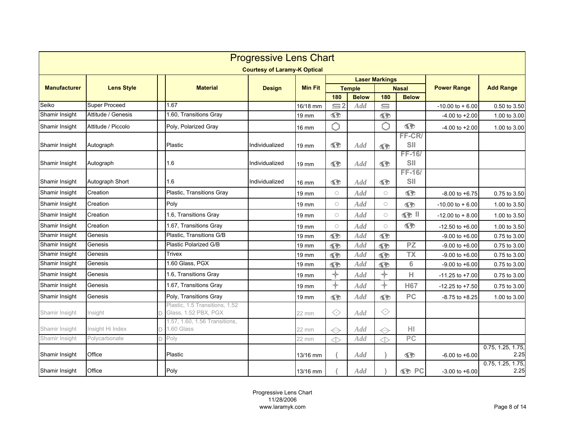|                     | <b>Progressive Lens Chart</b> |  |                                                        |                                     |                |                                  |               |                       |                          |                     |                           |  |  |
|---------------------|-------------------------------|--|--------------------------------------------------------|-------------------------------------|----------------|----------------------------------|---------------|-----------------------|--------------------------|---------------------|---------------------------|--|--|
|                     |                               |  |                                                        | <b>Courtesy of Laramy-K Optical</b> |                |                                  |               |                       |                          |                     |                           |  |  |
|                     |                               |  |                                                        |                                     |                |                                  |               | <b>Laser Markings</b> |                          |                     |                           |  |  |
| <b>Manufacturer</b> | <b>Lens Style</b>             |  | <b>Material</b>                                        | <b>Design</b>                       | <b>Min Fit</b> |                                  | <b>Temple</b> |                       | <b>Nasal</b>             | <b>Power Range</b>  | <b>Add Range</b>          |  |  |
| Seiko               | <b>Super Proceed</b>          |  | 1.67                                                   |                                     |                | 180<br>$\overline{\mathsf{S}^2}$ | <b>Below</b>  | 180                   | <b>Below</b>             |                     |                           |  |  |
|                     | Attitude / Genesis            |  |                                                        |                                     | 16/18 mm       |                                  | Add           | $\equiv$              |                          | $-10.00$ to $+6.00$ | 0.50 to 3.50              |  |  |
| Shamir Insight      |                               |  | 1.60, Transitions Gray                                 |                                     | 19 mm          | $\bullet$                        |               | $\bullet$             |                          | -4.00 to +2.00      | 1.00 to 3.00              |  |  |
| Shamir Insight      | Attitude / Piccolo            |  | Poly, Polarized Gray                                   |                                     | 16 mm          | Ô                                |               | ∩                     | $\bullet$                | $-4.00$ to $+2.00$  | 1.00 to 3.00              |  |  |
| Shamir Insight      | Autograph                     |  | Plastic                                                | Individualized                      | 19 mm          | $\bullet$                        | <b>Add</b>    | $\bullet$             | FF-CR/<br>SII            |                     |                           |  |  |
|                     |                               |  |                                                        |                                     |                |                                  |               |                       | FF-16/                   |                     |                           |  |  |
| Shamir Insight      | Autograph                     |  | 1.6                                                    | Individualized                      | 19 mm          | $\bullet$                        | Add           | $\bullet$             | SII                      |                     |                           |  |  |
|                     |                               |  |                                                        |                                     |                |                                  |               |                       | <b>FF-16/</b>            |                     |                           |  |  |
| Shamir Insight      | Autograph Short               |  | 1.6                                                    | Individualized                      | 16 mm          | $\bullet$                        | <b>Add</b>    | $\bullet$             | SII                      |                     |                           |  |  |
| Shamir Insight      | Creation                      |  | Plastic, Transitions Gray                              |                                     | 19 mm          | $\circ$                          | Add           | $\bigcirc$            | $\bullet$                | $-8.00$ to $+6.75$  | 0.75 to 3.50              |  |  |
| Shamir Insight      | Creation                      |  | Poly                                                   |                                     | 19 mm          | $\circ$                          | <b>Add</b>    | $\bigcirc$            | $\bullet$                | $-10.00$ to $+6.00$ | 1.00 to 3.50              |  |  |
| Shamir Insight      | Creation                      |  | 1.6, Transitions Gray                                  |                                     | 19 mm          | $\circ$                          | Add           | $\bigcirc$            | $\odot$ $\blacksquare$   | $-12.00$ to $+8.00$ | 1.00 to 3.50              |  |  |
| Shamir Insight      | Creation                      |  | 1.67, Transitions Gray                                 |                                     | 19 mm          | $\circ$                          | Add           | $\bigcirc$            | $\bullet$                | $-12.50$ to $+6.00$ | 1.00 to 3.50              |  |  |
| Shamir Insight      | Genesis                       |  | Plastic, Transitions G/B                               |                                     | 19 mm          | $\bullet$                        | Add           | $\mathbf{G}$          |                          | $-9.00$ to $+6.00$  | 0.75 to 3.00              |  |  |
| Shamir Insight      | Genesis                       |  | Plastic Polarized G/B                                  |                                     | 19 mm          | $\bullet$                        | <b>Add</b>    | $\bullet$             | $\overline{PZ}$          | $-9.00$ to $+6.00$  | 0.75 to 3.00              |  |  |
| Shamir Insight      | Genesis                       |  | Trivex                                                 |                                     | 19 mm          | $\bullet$                        | Add           | $\bullet$             | $\overline{\mathsf{TX}}$ | $-9.00$ to $+6.00$  | 0.75 to 3.00              |  |  |
| Shamir Insight      | Genesis                       |  | 1.60 Glass, PGX                                        |                                     | 19 mm          | $\bullet$                        | <b>Add</b>    | $\bullet$             | 6                        | $-9.00$ to $+6.00$  | 0.75 to 3.00              |  |  |
| Shamir Insight      | Genesis                       |  | 1.6, Transitions Gray                                  |                                     | 19 mm          | ╬                                | Add           | ╬                     | Н                        | $-11.25$ to $+7.00$ | 0.75 to 3.00              |  |  |
| Shamir Insight      | Genesis                       |  | 1.67, Transitions Gray                                 |                                     | 19 mm          | ╬                                | <b>Add</b>    | ⊹                     | <b>H67</b>               | $-12.25$ to $+7.50$ | 0.75 to 3.00              |  |  |
| Shamir Insight      | Genesis                       |  | Poly, Transitions Gray                                 |                                     | 19 mm          | $\bullet$                        | Add           | $\bullet$             | PC                       | $-8.75$ to $+8.25$  | 1.00 to 3.00              |  |  |
| Shamir Insight      | Insight                       |  | Plastic. 1.5 Transitions. 1.52<br>Glass, 1.52 PBX, PGX |                                     | 22 mm          | ◇                                | Add           | ◇                     |                          |                     |                           |  |  |
| Shamir Insight      | Insight Hi Index              |  | 1.57, 1.60, 1.56 Transitions,<br>1.60 Glass            |                                     | 22 mm          | $\Leftrightarrow$                | <b>Add</b>    | $\Leftrightarrow$     | HI                       |                     |                           |  |  |
| Shamir Insight      | Polycarbonate                 |  | Poly                                                   |                                     | 22 mm          | $\Leftrightarrow$                | Add           | $\Leftrightarrow$     | PC                       |                     |                           |  |  |
| Shamir Insight      | Office                        |  | Plastic                                                |                                     | 13/16 mm       |                                  | Add           |                       | $\bullet$                | $-6.00$ to $+6.00$  | 0.75, 1.25, 1.75,<br>2.25 |  |  |
| Shamir Insight      | Office                        |  | Poly                                                   |                                     | 13/16 mm       |                                  | Add           |                       | <b>S</b> PC              | $-3.00$ to $+6.00$  | 0.75, 1.25, 1.75,<br>2.25 |  |  |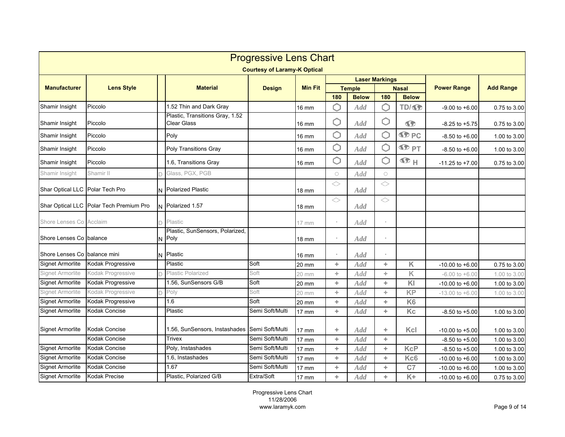|                                 | <b>Progressive Lens Chart</b><br><b>Courtesy of Laramy-K Optical</b> |  |                                                       |                 |                 |            |               |                       |                      |                     |                  |  |  |
|---------------------------------|----------------------------------------------------------------------|--|-------------------------------------------------------|-----------------|-----------------|------------|---------------|-----------------------|----------------------|---------------------|------------------|--|--|
|                                 |                                                                      |  |                                                       |                 |                 |            |               |                       |                      |                     |                  |  |  |
| <b>Manufacturer</b>             | <b>Lens Style</b>                                                    |  | <b>Material</b>                                       | <b>Design</b>   | <b>Min Fit</b>  |            | <b>Temple</b> | <b>Laser Markings</b> | <b>Nasal</b>         | <b>Power Range</b>  | <b>Add Range</b> |  |  |
|                                 |                                                                      |  |                                                       |                 |                 | 180        | <b>Below</b>  | 180                   | <b>Below</b>         |                     |                  |  |  |
| Shamir Insight                  | Piccolo                                                              |  | 1.52 Thin and Dark Gray                               |                 | <b>16 mm</b>    | ∩          | Add           |                       | TD/ <sub>SD</sub>    | $-9.00$ to $+6.00$  | 0.75 to 3.00     |  |  |
| Shamir Insight                  | Piccolo                                                              |  | Plastic, Transitions Gray, 1.52<br><b>Clear Glass</b> |                 | $16 \text{ mm}$ | O          | <b>Add</b>    | О                     | $\bullet$            | $-8.25$ to $+5.75$  | 0.75 to 3.00     |  |  |
| Shamir Insight                  | Piccolo                                                              |  | Poly                                                  |                 | <b>16 mm</b>    | С          | <b>Add</b>    | O                     | <b>SP</b> PC         | $-8.50$ to $+6.00$  | 1.00 to 3.00     |  |  |
| Shamir Insight                  | Piccolo                                                              |  | Poly Transitions Gray                                 |                 | 16 mm           | ∩          | <b>Add</b>    |                       | $\Phi$ <sub>PT</sub> | $-8.50$ to $+6.00$  | 1.00 to 3.00     |  |  |
| Shamir Insight                  | Piccolo                                                              |  | 1.6, Transitions Gray                                 |                 | <b>16 mm</b>    | Ô          | Add           | ⋂                     | $\Phi$ H             | $-11.25$ to $+7.00$ | 0.75 to 3.00     |  |  |
| Shamir Insight                  | Shamir II                                                            |  | Glass, PGX, PGB                                       |                 |                 | $\bigcirc$ | Add           | $\bigcirc$            |                      |                     |                  |  |  |
| Shar Optical LLC Polar Tech Pro |                                                                      |  | N Polarized Plastic                                   |                 | $18 \text{ mm}$ | $\Diamond$ | <b>Add</b>    | $\Diamond$            |                      |                     |                  |  |  |
|                                 | Shar Optical LLC Polar Tech Premium Pro                              |  | N Polarized 1.57                                      |                 | 18 mm           | $\Diamond$ | Add           | $\Diamond$            |                      |                     |                  |  |  |
| Shore Lenses Co Acclaim         |                                                                      |  | Plastic                                               |                 | 17 mm           |            | Add           |                       |                      |                     |                  |  |  |
| Shore Lenses Co balance         |                                                                      |  | Plastic, SunSensors, Polarized,<br>Poly               |                 | <b>18 mm</b>    |            | Add           |                       |                      |                     |                  |  |  |
| Shore Lenses Co balance mini    |                                                                      |  | N Plastic                                             |                 | 16 mm           |            | Add           |                       |                      |                     |                  |  |  |
| Signet Armorlite                | Kodak Progressive                                                    |  | Plastic                                               | Soft            | 20 mm           | ÷          | <b>Add</b>    | ÷                     | K                    | $-10.00$ to $+6.00$ | 0.75 to 3.00     |  |  |
| Signet Armorlite                | Kodak Progressive                                                    |  | Plastic Polarized                                     | Soft            | 20 mm           | ÷          | Add           | ÷                     | K                    | $-6.00$ to $+6.00$  | 1.00 to 3.00     |  |  |
| <b>Signet Armorlite</b>         | Kodak Progressive                                                    |  | 1.56, SunSensors G/B                                  | Soft            | 20 mm           | ÷          | Add           | ÷.                    | KI                   | $-10.00$ to $+6.00$ | 1.00 to 3.00     |  |  |
| Signet Armorlite                | Kodak Progressive                                                    |  | Poly                                                  | Soft            | 20 mm           | ÷          | <b>Add</b>    | ÷.                    | <b>KP</b>            | $-13.00$ to $+6.00$ | 1.00 to 3.00     |  |  |
| Signet Armorlite                | Kodak Progressive                                                    |  | 1.6                                                   | Soft            | 20 mm           | ÷          | <b>Add</b>    | ÷.                    | K <sub>6</sub>       |                     |                  |  |  |
| <b>Signet Armorlite</b>         | Kodak Concise                                                        |  | Plastic                                               | Semi Soft/Multi | $17 \text{ mm}$ | ÷          | Add           | ÷                     | Kc                   | $-8.50$ to $+5.00$  | 1.00 to 3.00     |  |  |
| Signet Armorlite                | Kodak Concise                                                        |  | 1.56, SunSensors, Instashades                         | Semi Soft/Multi | $17 \text{ mm}$ | ÷          | Add           | ÷                     | Kcl                  | $-10.00$ to $+5.00$ | 1.00 to 3.00     |  |  |
|                                 | <b>Kodak Concise</b>                                                 |  | <b>Trivex</b>                                         | Semi Soft/Multi | <b>17 mm</b>    | ÷          | <b>Add</b>    | ÷.                    |                      | $-8.50$ to $+5.00$  | 1.00 to 3.00     |  |  |
| <b>Signet Armorlite</b>         | <b>Kodak Concise</b>                                                 |  | Poly, Instashades                                     | Semi Soft/Multi | <b>17 mm</b>    | ÷          | Add           | ÷.                    | <b>KcP</b>           | $-8.50$ to $+5.00$  | 1.00 to 3.00     |  |  |
| <b>Signet Armorlite</b>         | <b>Kodak Concise</b>                                                 |  | 1.6. Instashades                                      | Semi Soft/Multi | <b>17 mm</b>    | ÷          | Add           | ÷                     | Kc <sub>6</sub>      | $-10.00$ to $+6.00$ | 1.00 to 3.00     |  |  |
| <b>Signet Armorlite</b>         | Kodak Concise                                                        |  | 1.67                                                  | Semi Soft/Multi | 17 mm           | ÷          | Add           | ÷.                    | C <sub>7</sub>       | $-10.00$ to $+6.00$ | 1.00 to 3.00     |  |  |
| Signet Armorlite                | <b>Kodak Precise</b>                                                 |  | Plastic, Polarized G/B                                | Extra/Soft      | 17 mm           | ÷          | Add           | ÷.                    | $K +$                | $-10.00$ to $+6.00$ | 0.75 to 3.00     |  |  |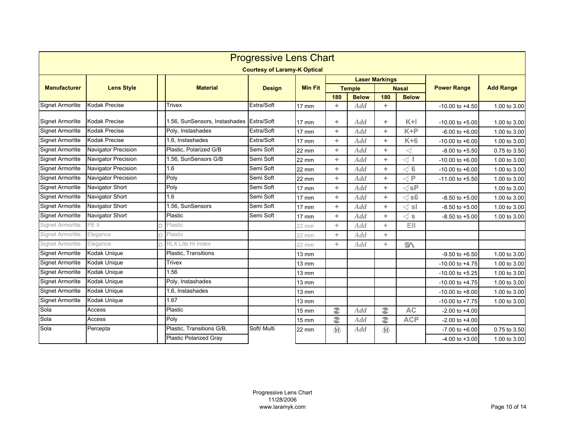|                         | <b>Progressive Lens Chart</b> |  |                                          |                                     |                 |                        |               |                        |                         |                     |                  |  |
|-------------------------|-------------------------------|--|------------------------------------------|-------------------------------------|-----------------|------------------------|---------------|------------------------|-------------------------|---------------------|------------------|--|
|                         |                               |  |                                          | <b>Courtesy of Laramy-K Optical</b> |                 |                        |               |                        |                         |                     |                  |  |
|                         |                               |  |                                          |                                     |                 |                        |               | <b>Laser Markings</b>  |                         |                     |                  |  |
| <b>Manufacturer</b>     | <b>Lens Style</b>             |  | <b>Material</b>                          | <b>Design</b>                       | <b>Min Fit</b>  |                        | <b>Temple</b> |                        | <b>Nasal</b>            | <b>Power Range</b>  | <b>Add Range</b> |  |
|                         |                               |  |                                          |                                     |                 | 180                    | <b>Below</b>  | 180                    | <b>Below</b>            |                     |                  |  |
| Signet Armorlite        | <b>Kodak Precise</b>          |  | <b>Trivex</b>                            | Extra/Soft                          | 17 mm           | ÷                      | Add           | ÷.                     |                         | $-10.00$ to $+4.50$ | 1.00 to 3.00     |  |
| <b>Signet Armorlite</b> | <b>Kodak Precise</b>          |  | 1.56, SunSensors, Instashades Extra/Soft |                                     | $17 \text{ mm}$ | ÷                      | Add           | ÷.                     | $K+1$                   | $-10.00$ to $+5.00$ | 1.00 to 3.00     |  |
| <b>Signet Armorlite</b> | <b>Kodak Precise</b>          |  | Poly, Instashades                        | Extra/Soft                          | $17 \text{ mm}$ | ÷.                     | Add           | ÷.                     | $K + P$                 | $-6.00$ to $+6.00$  | 1.00 to 3.00     |  |
| <b>Signet Armorlite</b> | <b>Kodak Precise</b>          |  | 1.6, Instashades                         | Extra/Soft                          | $17 \text{ mm}$ | ÷                      | Add           | ÷                      | $K+6$                   | $-10.00$ to $+6.00$ | 1.00 to 3.00     |  |
| <b>Signet Armorlite</b> | Navigator Precision           |  | Plastic, Polarized G/B                   | Semi Soft                           | 22 mm           | ÷                      | Add           | ÷                      | ◁                       | $-8.00$ to $+5.50$  | 0.75 to 3.50     |  |
| <b>Signet Armorlite</b> | <b>Navigator Precision</b>    |  | 1.56. SunSensors G/B                     | Semi Soft                           | 22 mm           | ÷                      | <b>Add</b>    | ÷                      | $\operatorname{I}$      | $-10.00$ to $+6.00$ | 1.00 to 3.00     |  |
| <b>Signet Armorlite</b> | Navigator Precision           |  | 1.6                                      | Semi Soft                           | 22 mm           | ÷                      | <b>Add</b>    | ÷.                     | $\triangleleft$ 6       | $-10.00$ to $+6.00$ | 1.00 to 3.00     |  |
| <b>Signet Armorlite</b> | <b>Navigator Precision</b>    |  | Poly                                     | Semi Soft                           | 22 mm           | ÷.                     | <b>Add</b>    | ÷.                     | $\lhd$ P                | $-11.00$ to $+5.50$ | 1.00 to 3.00     |  |
| <b>Signet Armorlite</b> | Navigator Short               |  | Poly                                     | Semi Soft                           | $17$ mm         | ÷                      | <b>Add</b>    | ÷.                     | $\lhd$ sP               |                     | 1.00 to 3.00     |  |
| <b>Signet Armorlite</b> | Navigator Short               |  | 1.6                                      | Semi Soft                           | 17 mm           | ÷.                     | <b>Add</b>    | ÷.                     | s6                      | $-8.50$ to $+5.00$  | 1.00 to 3.00     |  |
| <b>Signet Armorlite</b> | Navigator Short               |  | 1.56, SunSensors                         | Semi Soft                           | 17 mm           | ÷                      | <b>Add</b>    | ÷                      | ∫sI                     | $-8.50$ to $+5.00$  | 1.00 to 3.00     |  |
| <b>Signet Armorlite</b> | <b>Navigator Short</b>        |  | Plastic                                  | Semi Soft                           | 17 mm           | ÷.                     | Add           | ÷.                     | $\operatorname{\lhd}$ s | $-8.50$ to $+5.00$  | 1.00 to 3.00     |  |
| Signet Armorlite        | PE II                         |  | Plastic                                  |                                     | 22 mm           | ÷.                     | Add           | ÷.                     | EII.                    |                     |                  |  |
| Signet Armorlite        | Elegance                      |  | Plastic                                  |                                     | 22 mm           | ÷                      | <b>Add</b>    | ÷                      |                         |                     |                  |  |
| Signet Armorlite        | Elegance                      |  | RLX Lite Hi Index                        |                                     | 22 mm           | ÷                      | <b>Add</b>    | ÷.                     | $\mathbb{R}$            |                     |                  |  |
| <b>Signet Armorlite</b> | Kodak Unique                  |  | Plastic, Transitions                     |                                     | $13 \text{ mm}$ |                        |               |                        |                         | $-9.50$ to $+6.50$  | 1.00 to 3.00     |  |
| <b>Signet Armorlite</b> | Kodak Unique                  |  | <b>Trivex</b>                            |                                     | $13 \text{ mm}$ |                        |               |                        |                         | $-10.00$ to $+4.75$ | 1.00 to 3.00     |  |
| <b>Signet Armorlite</b> | Kodak Unique                  |  | 1.56                                     |                                     | $13 \text{ mm}$ |                        |               |                        |                         | $-10.00$ to $+5.25$ | 1.00 to 3.00     |  |
| <b>Signet Armorlite</b> | Kodak Unique                  |  | Poly, Instashades                        |                                     | 13 mm           |                        |               |                        |                         | $-10.00$ to $+4.75$ | 1.00 to 3.00     |  |
| <b>Signet Armorlite</b> | Kodak Unique                  |  | 1.6, Instashades                         |                                     | $13 \text{ mm}$ |                        |               |                        |                         | $-10.00$ to $+8.00$ | 1.00 to 3.00     |  |
| <b>Signet Armorlite</b> | Kodak Unique                  |  | 1.67                                     |                                     | $13 \text{ mm}$ |                        |               |                        |                         | $-10.00$ to $+7.75$ | 1.00 to 3.00     |  |
| Sola                    | Access                        |  | Plastic                                  |                                     | $15 \text{ mm}$ | $\widehat{\mathbb{C}}$ | Add           | $\widehat{\mathbb{C}}$ | <b>AC</b>               | $-2.00$ to $+4.00$  |                  |  |
| Sola                    | Access                        |  | Poly                                     |                                     | <b>15 mm</b>    | $\circledcirc$         | Add           | $\circledcirc$         | <b>ACP</b>              | $-2.00$ to $+4.00$  |                  |  |
| Sola                    | Percepta                      |  | Plastic, Transitions G/B,                | Soft/ Multi                         | 22 mm           | ®                      | Add           | $\oplus$               |                         | $-7.00$ to $+6.00$  | 0.75 to 3.50     |  |
|                         |                               |  | <b>Plastic Polarized Grav</b>            |                                     |                 |                        |               |                        |                         | $-4.00$ to $+3.00$  | 1.00 to 3.00     |  |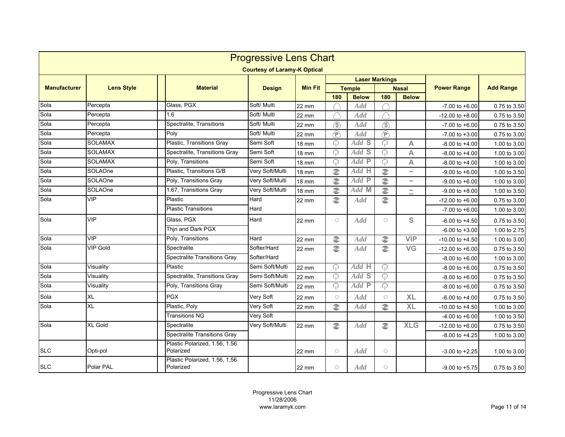|                     | <b>Progressive Lens Chart</b> |                                            |                                     |                |                 |                       |                        |              |                     |                  |  |  |  |
|---------------------|-------------------------------|--------------------------------------------|-------------------------------------|----------------|-----------------|-----------------------|------------------------|--------------|---------------------|------------------|--|--|--|
|                     |                               |                                            | <b>Courtesy of Laramy-K Optical</b> |                |                 |                       |                        |              |                     |                  |  |  |  |
|                     |                               |                                            |                                     |                |                 | <b>Laser Markings</b> |                        |              |                     |                  |  |  |  |
| <b>Manufacturer</b> | <b>Lens Style</b>             | <b>Material</b>                            | <b>Design</b>                       | <b>Min Fit</b> |                 | <b>Temple</b>         |                        | <b>Nasal</b> | <b>Power Range</b>  | <b>Add Range</b> |  |  |  |
|                     |                               |                                            |                                     |                | 180             | <b>Below</b>          | 180                    | <b>Below</b> |                     |                  |  |  |  |
| Sola                | Percepta                      | Glass, PGX                                 | Soft/ Multi                         | 22 mm          |                 | Add                   |                        |              | $-7.00$ to $+6.00$  | 0.75 to 3.50     |  |  |  |
| Sola                | Percepta                      | 1.6                                        | Soft/ Multi                         | 22 mm          |                 | Add                   |                        |              | $-12.00$ to $+8.00$ | 0.75 to 3.50     |  |  |  |
| Sola                | Percepta                      | Spectralite, Transitions                   | Soft/ Multi                         | <b>22 mm</b>   | $\circledS$     | Add                   | $\circledS$            |              | $-7.00$ to $+6.00$  | 0.75 to 3.50     |  |  |  |
| Sola                | Percepta                      | Poly                                       | Soft/ Multi                         | 22 mm          | $\bigcirc$      | <b>Add</b>            | $\bigoplus$            |              | $-7.00$ to $+3.00$  | 0.75 to 3.00     |  |  |  |
| Sola                | <b>SOLAMAX</b>                | Plastic, Transitions Gray                  | Semi Soft                           | <b>18 mm</b>   | ဂု              | Add S                 | ဂ                      | A            | $-8.00$ to $+4.00$  | 1.00 to 3.00     |  |  |  |
| Sola                | <b>SOLAMAX</b>                | Spectralite, Transitions Gray              | Semi Soft                           | 18 mm          | ନ               | Add S                 | ᠗                      | A            | $-8.00$ to $+4.00$  | 1.00 to 3.00     |  |  |  |
| Sola                | <b>SOLAMAX</b>                | Poly, Transitions                          | Semi Soft                           | <b>18 mm</b>   | ဂု              | Add P                 | ᠗                      | A            | $-8.00$ to $+4.00$  | 1.00 to 3.00     |  |  |  |
| Sola                | SOLAOne                       | Plastic, Transitions G/B                   | Very Soft/Multi                     | <b>18 mm</b>   | €               | Add H                 | €                      | $\sim$       | $-9.00$ to $+6.00$  | 1.00 to 3.50     |  |  |  |
| Sola                | SOLAOne                       | Poly, Transitions Gray                     | Very Soft/Multi                     | <b>18 mm</b>   | $\widehat{\in}$ | Add P                 | $\odot$                | $\sim$       | $-9.00$ to $+6.00$  | 1.00 to 3.00     |  |  |  |
| Sola                | SOLAOne                       | 1.67, Transitions Gray                     | Very Soft/Multi                     | <b>18 mm</b>   | $\odot$         | Add M                 | $\odot$                | $\sim$       | $-9.00$ to $+8.00$  | 1.00 to 3.50     |  |  |  |
| Sola                | VIP                           | Plastic                                    | Hard                                | 22 mm          | $\odot$         | Add                   | $\odot$                |              | $-12.00$ to $+6.00$ | 0.75 to 3.00     |  |  |  |
|                     |                               | <b>Plastic Transitions</b>                 | Hard                                |                |                 |                       |                        |              | $-7.00$ to $+6.00$  | 1.00 to 3.00     |  |  |  |
| Sola                | <b>VIP</b>                    | Glass, PGX                                 | Hard                                | 22 mm          | $\bigcirc$      | Add                   | $\circ$                | S            | $-6.00$ to $+4.50$  | 0.75 to 3.50     |  |  |  |
|                     |                               | Thjn and Dark PGX                          |                                     |                |                 |                       |                        |              | $-6.00$ to $+3.00$  | 1.00 to 2.75     |  |  |  |
| Sola                | <b>VIP</b>                    | Poly, Transitions                          | Hard                                | 22 mm          | $\widehat{\in}$ | Add                   | $\widehat{\mathbb{C}}$ | <b>VIP</b>   | $-10.00$ to $+4.50$ | 1.00 to 3.00     |  |  |  |
| Sola                | <b>VIP Gold</b>               | Spectralite                                | Softer/Hard                         | 22 mm          | e)              | <b>Add</b>            | $\circledcirc$         | <b>VG</b>    | $-12.00$ to $+6.00$ | 0.75 to 3.50     |  |  |  |
|                     |                               | <b>Spectralite Transitions Gray</b>        | Softer/Hard                         |                |                 |                       |                        |              | $-8.00$ to $+6.00$  | 1.00 to 3.00     |  |  |  |
| Sola                | Visuality                     | Plastic                                    | Semi Soft/Multi                     | 22 mm          | ନ               | Add H                 | 0                      |              | $-8.00$ to $+6.00$  | 0.75 to 3.50     |  |  |  |
| Sola                | Visuality                     | Spectralite, Transitions Gray              | Semi Soft/Multi                     | 22 mm          | ဂု              | Add S                 | ဂ                      |              | $-8.00$ to $+6.00$  | 0.75 to 3.50     |  |  |  |
| Sola                | Visuality                     | Poly, Transitions Gray                     | Semi Soft/Multi                     | 22 mm          | ନ               | Add P                 | ဂု                     |              | $-8.00$ to $+6.00$  | 0.75 to 3.50     |  |  |  |
| Sola                | XL                            | <b>PGX</b>                                 | Very Soft                           | 22 mm          | $\circ$         | Add                   | $\circ$                | <b>XL</b>    | $-6.00$ to $+4.00$  | 0.75 to 3.50     |  |  |  |
| Sola                | <b>XL</b>                     | Plastic, Poly                              | Very Soft                           | 22 mm          | $\circledcirc$  | Add                   | $\circledcirc$         | <b>XL</b>    | $-10.00$ to $+4.50$ | 1.00 to 3.00     |  |  |  |
|                     |                               | <b>Transitions NG</b>                      | Very Soft                           |                |                 |                       |                        |              | $-4.00$ to $+6.00$  | 1.00 to 3.50     |  |  |  |
| Sola                | <b>XL Gold</b>                | Spectralite                                | Very Soft/Multi                     | 22 mm          | $\widehat{\in}$ | <b>Add</b>            | $\widehat{\in}$        | <b>XLG</b>   | $-12.00$ to $+6.00$ | 0.75 to 3.50     |  |  |  |
|                     |                               | <b>Spectralite Transitions Gray</b>        |                                     |                |                 |                       |                        |              | $-8.00$ to $+4.25$  | 1.00 to 3.00     |  |  |  |
| <b>SLC</b>          | Opti-pol                      | Plastic Polarized, 1.56, 1.56<br>Polarized |                                     | 22 mm          | $\bigcirc$      | <b>Add</b>            | $\bigcirc$             |              | $-3.00$ to $+2.25$  | 1.00 to 3.00     |  |  |  |
| <b>SLC</b>          | Polar PAL                     | Plastic Polarized, 1.56, 1,56<br>Polarized |                                     | 22 mm          | $\circ$         | Add                   | $\circ$                |              | $-9.00$ to $+5.75$  | 0.75 to 3.50     |  |  |  |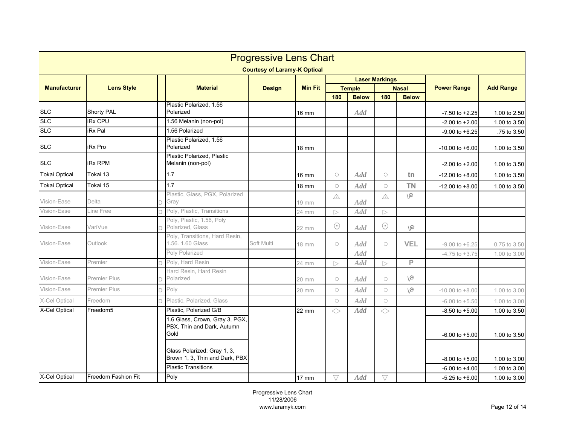|                      |                                                              |  |                                                                      | <b>Progressive Lens Chart</b> |                |                  |               |                  |              |                     |                  |
|----------------------|--------------------------------------------------------------|--|----------------------------------------------------------------------|-------------------------------|----------------|------------------|---------------|------------------|--------------|---------------------|------------------|
|                      | <b>Courtesy of Laramy-K Optical</b><br><b>Laser Markings</b> |  |                                                                      |                               |                |                  |               |                  |              |                     |                  |
|                      |                                                              |  |                                                                      |                               |                |                  |               |                  |              |                     |                  |
| <b>Manufacturer</b>  | <b>Lens Style</b>                                            |  | <b>Material</b>                                                      | <b>Design</b>                 | <b>Min Fit</b> |                  | <b>Temple</b> |                  | <b>Nasal</b> | <b>Power Range</b>  | <b>Add Range</b> |
|                      |                                                              |  | Plastic Polarized, 1.56                                              |                               |                | 180              | <b>Below</b>  | 180              | <b>Below</b> |                     |                  |
| <b>SLC</b>           | <b>Shorty PAL</b>                                            |  | Polarized                                                            |                               | 16 mm          |                  | <b>Add</b>    |                  |              | $-7.50$ to $+2.25$  | 1.00 to 2.50     |
| <b>SLC</b>           | <b>iRx CPU</b>                                               |  | 1.56 Melanin (non-pol)                                               |                               |                |                  |               |                  |              | $-2.00$ to $+2.00$  | 1.00 to 3.50     |
| <b>SLC</b>           | <b>iRx Pal</b>                                               |  | 1.56 Polarized                                                       |                               |                |                  |               |                  |              | $-9.00$ to $+6.25$  | .75 to 3.50      |
| <b>SLC</b>           | <b>iRx Pro</b>                                               |  | Plastic Polarized, 1.56<br>Polarized                                 |                               | 18 mm          |                  |               |                  |              | $-10.00$ to $+6.00$ | 1.00 to 3.50     |
|                      |                                                              |  | Plastic Polarized, Plastic                                           |                               |                |                  |               |                  |              |                     |                  |
| <b>SLC</b>           | <b>iRx RPM</b>                                               |  | Melanin (non-pol)                                                    |                               |                |                  |               |                  |              | $-2.00$ to $+2.00$  | 1.00 to 3.50     |
| <b>Tokai Optical</b> | Tokai 13                                                     |  | 1.7                                                                  |                               | 16 mm          | $\circ$          | Add           | $\bigcirc$       | tn           | $-12.00$ to $+8.00$ | 1.00 to 3.50     |
| <b>Tokai Optical</b> | Tokai 15                                                     |  | 1.7                                                                  |                               | 18 mm          | $\circ$          | Add           | $\circ$          | <b>TN</b>    | $-12.00$ to $+8.00$ | 1.00 to 3.50     |
| Vision-Ease          | Delta                                                        |  | Plastic, Glass, PGX, Polarized<br>Gray                               |                               | 19 mm          | $\triangle$      | <b>Add</b>    | $\triangle$      | ve           |                     |                  |
| Vision-Ease          | Line Free                                                    |  | Poly, Plastic, Transitions                                           |                               | 24 mm          | $\triangleright$ | <b>Add</b>    | $\triangleright$ |              |                     |                  |
| Vision-Ease          | VariVue                                                      |  | Poly, Plastic, 1.56, Poly<br>Polarized, Glass                        |                               | 22 mm          | $\odot$          | Add           | $\odot$          | ve           |                     |                  |
| Vision-Ease          | Outlook                                                      |  | Poly, Transitions, Hard Resin,<br>1.56, 1.60 Glass                   | Soft Multi                    | 18 mm          | $\circ$          | Add           | $\bigcirc$       | <b>VEL</b>   | $-9.00$ to $+6.25$  | 0.75 to 3.50     |
|                      |                                                              |  | Poly Polarized                                                       |                               |                |                  | Add           |                  |              | $-4.75$ to $+3.75$  | 1.00 to 3.00     |
| Vision-Ease          | Premier                                                      |  | Poly, Hard Resin                                                     |                               | 24 mm          | $\triangleright$ | <b>Add</b>    | $\triangleright$ | P            |                     |                  |
| Vision-Ease          | <b>Premier Plus</b>                                          |  | Hard Resin, Hard Resin<br>Polarized                                  |                               | 20 mm          | $\circ$          | <b>Add</b>    | $\circ$          | ve           |                     |                  |
| Vision-Ease          | Premier Plus                                                 |  | Poly                                                                 |                               | 20 mm          | $\bigcirc$       | Add           | $\circ$          | ve           | $-10.00$ to $+8.00$ | 1.00 to 3.00     |
| X-Cel Optical        | Freedom                                                      |  | Plastic, Polarized, Glass                                            |                               |                | $\bigcirc$       | Add           | $\circ$          |              | $-6.00$ to $+5.50$  | 1.00 to 3.00     |
| X-Cel Optical        | Freedom5                                                     |  | Plastic, Polarized G/B                                               |                               | 22 mm          | $\Diamond$       | <b>Add</b>    | $\Diamond$       |              | $-8.50$ to $+5.00$  | 1.00 to 3.50     |
|                      |                                                              |  | 1.6 Glass, Crown, Gray 3, PGX,<br>PBX, Thin and Dark, Autumn<br>Gold |                               |                |                  |               |                  |              | $-6.00$ to $+5.00$  | 1.00 to 3.50     |
|                      |                                                              |  | Glass Polarized: Gray 1, 3,<br>Brown 1, 3, Thin and Dark, PBX        |                               |                |                  |               |                  |              | $-8.00$ to $+5.00$  | 1.00 to 3.00     |
|                      |                                                              |  | <b>Plastic Transitions</b>                                           |                               |                |                  |               |                  |              | $-6.00$ to $+4.00$  | 1.00 to 3.00     |
| X-Cel Optical        | <b>Freedom Fashion Fit</b>                                   |  | Poly                                                                 |                               | 17 mm          | V                | Add           | $\triangledown$  |              | $-5.25$ to $+6.00$  | 1.00 to 3.00     |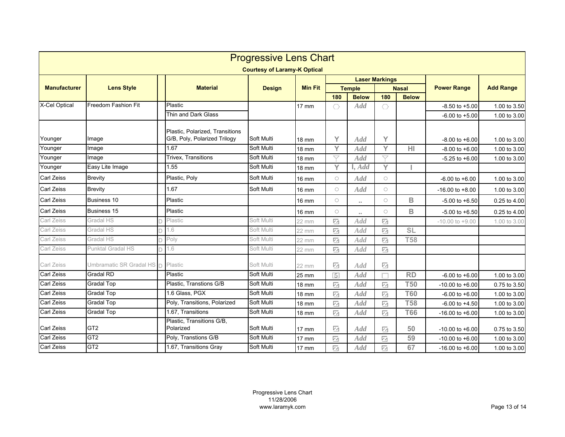| <b>Progressive Lens Chart</b>       |                           |  |                                                                 |               |                 |                          |                     |                          |                 |                     |                  |
|-------------------------------------|---------------------------|--|-----------------------------------------------------------------|---------------|-----------------|--------------------------|---------------------|--------------------------|-----------------|---------------------|------------------|
| <b>Courtesy of Laramy-K Optical</b> |                           |  |                                                                 |               |                 |                          |                     |                          |                 |                     |                  |
|                                     | <b>Lens Style</b>         |  | <b>Material</b>                                                 | <b>Design</b> | <b>Min Fit</b>  |                          |                     | <b>Laser Markings</b>    |                 |                     |                  |
| <b>Manufacturer</b>                 |                           |  |                                                                 |               |                 | <b>Temple</b>            |                     | <b>Nasal</b>             |                 | <b>Power Range</b>  | <b>Add Range</b> |
|                                     |                           |  |                                                                 |               |                 | 180                      | <b>Below</b>        | 180                      | <b>Below</b>    |                     |                  |
| X-Cel Optical                       | Freedom Fashion Fit       |  | Plastic                                                         |               | 17 mm           | O                        | <b>Add</b>          | O                        |                 | $-8.50$ to $+5.00$  | 1.00 to 3.50     |
|                                     |                           |  | Thin and Dark Glass                                             |               |                 |                          |                     |                          |                 | $-6.00$ to $+5.00$  | 1.00 to 3.00     |
| Younger                             | Image                     |  | Plastic, Polarized, Transitions<br>G/B, Poly, Polarized Trilogy | Soft Multi    | <b>18 mm</b>    | Υ                        | Add                 | Y                        |                 | $-8.00$ to $+6.00$  | 1.00 to 3.00     |
| Younger                             | Image                     |  | 1.67                                                            | Soft Multi    | 18 mm           | Y                        | <b>Add</b>          | Y                        | H <sub>1</sub>  | $-8.00$ to $+6.00$  | 1.00 to 3.00     |
| Younger                             | Image                     |  | Trivex, Transitions                                             | Soft Multi    | <b>18 mm</b>    | $\bigtriangledown$       | Add                 | $\bigtriangledown$       |                 | $-5.25$ to $+6.00$  | 1.00 to 3.00     |
| Younger                             | Easy Lite Image           |  | 1.55                                                            | Soft Multi    | <b>18 mm</b>    | Y                        | I, Add              | Y                        |                 |                     |                  |
| <b>Carl Zeiss</b>                   | <b>Brevity</b>            |  | Plastic, Poly                                                   | Soft Multi    | 16 mm           | $\bigcirc$               | Add                 | $\bigcirc$               |                 | $-6.00$ to $+6.00$  | 1.00 to 3.00     |
| <b>Carl Zeiss</b>                   | <b>Brevity</b>            |  | 1.67                                                            | Soft Multi    | <b>16 mm</b>    | $\bigcirc$               | Add                 | $\bigcirc$               |                 | $-16.00$ to $+8.00$ | 1.00 to 3.00     |
| <b>Carl Zeiss</b>                   | Business 10               |  | Plastic                                                         |               | $16 \text{ mm}$ | $\circ$                  | $\sim$              | $\circ$                  | B               | $-5.00$ to $+6.50$  | 0.25 to 4.00     |
| <b>Carl Zeiss</b>                   | Business 15               |  | Plastic                                                         |               | $16 \text{ mm}$ | $\circ$                  | $\bullet$ $\bullet$ | $\circ$                  | B               | $-5.00$ to $+6.50$  | 0.25 to 4.00     |
| Carl Zeiss                          | Gradal HS                 |  | Plastic                                                         | Soft Multi    | 22 mm           | Z                        | <b>Add</b>          | $\overline{\mathscr{C}}$ |                 | $-10.00$ to $+9.00$ | 1.00 to 3.00     |
| Carl Zeiss                          | Gradal HS                 |  | 1.6                                                             | Soft Multi    | 22 mm           | $\overline{\mathcal{M}}$ | Add                 | $\sqrt{2}$               | SL              |                     |                  |
| Carl Zeiss                          | Gradal HS                 |  | Poly                                                            | Soft Multi    | 22 mm           | 囜                        | <b>Add</b>          | $\overline{\mathcal{M}}$ | <b>T58</b>      |                     |                  |
| Carl Zeiss                          | Punktal Gradal HS         |  | 1.6                                                             | Soft Multi    | 22 mm           | Ø                        | <b>Add</b>          | $\overline{\mathbf{z}}$  |                 |                     |                  |
| Carl Zeiss                          | Umbramatic SR Gradal HS n |  | Plastic                                                         | Soft Multi    | 22 mm           | 11                       | <b>Add</b>          | $\overline{\mathscr{C}}$ |                 |                     |                  |
| <b>Carl Zeiss</b>                   | <b>Gradal RD</b>          |  | Plastic                                                         | Soft Multi    | 25 mm           | $\sqrt{5}$               | Add                 |                          | $\overline{RD}$ | $-6.00$ to $+6.00$  | 1.00 to 3.00     |
| <b>Carl Zeiss</b>                   | <b>Gradal Top</b>         |  | Plastic, Transtions G/B                                         | Soft Multi    | 18 mm           | $\overline{\mathcal{M}}$ | <b>Add</b>          | $\overline{\mathcal{M}}$ | <b>T50</b>      | $-10.00$ to $+6.00$ | 0.75 to 3.50     |
| <b>Carl Zeiss</b>                   | <b>Gradal Top</b>         |  | 1.6 Glass, PGX                                                  | Soft Multi    | 18 mm           | Ø                        | Add                 | $\overline{\mathbf{z}}$  | <b>T60</b>      | $-6.00$ to $+6.00$  | 1.00 to 3.00     |
| <b>Carl Zeiss</b>                   | <b>Gradal Top</b>         |  | Poly, Transitions, Polarized                                    | Soft Multi    | <b>18 mm</b>    | $\overline{\mathcal{M}}$ | Add                 | $\overline{\mathcal{M}}$ | <b>T58</b>      | $-6.00$ to $+4.50$  | 1.00 to 3.00     |
| Carl Zeiss                          | <b>Gradal Top</b>         |  | 1.67. Transitions                                               | Soft Multi    | <b>18 mm</b>    | Ø                        | Add                 | $\sqrt{2}$               | <b>T66</b>      | $-16.00$ to $+6.00$ | 1.00 to 3.00     |
| <b>Carl Zeiss</b>                   | GT <sub>2</sub>           |  | Plastic, Transitions G/B,<br>Polarized                          | Soft Multi    | $17 \text{ mm}$ | ☑                        | <b>Add</b>          | $\overline{\mathbf{z}}$  | 50              | $-10.00$ to $+6.00$ | 0.75 to 3.50     |
| <b>Carl Zeiss</b>                   | GT <sub>2</sub>           |  | Poly, Transtions G/B                                            | Soft Multi    | $17 \text{ mm}$ | ø                        | Add                 | ☑                        | 59              | $-10.00$ to $+6.00$ | 1.00 to 3.00     |
| <b>Carl Zeiss</b>                   | GT <sub>2</sub>           |  | 1.67, Transitions Gray                                          | Soft Multi    | 17 mm           | $\overline{\mathcal{M}}$ | Add                 | $\overline{\mathbf{z}}$  | 67              | $-16.00$ to $+6.00$ | 1.00 to 3.00     |